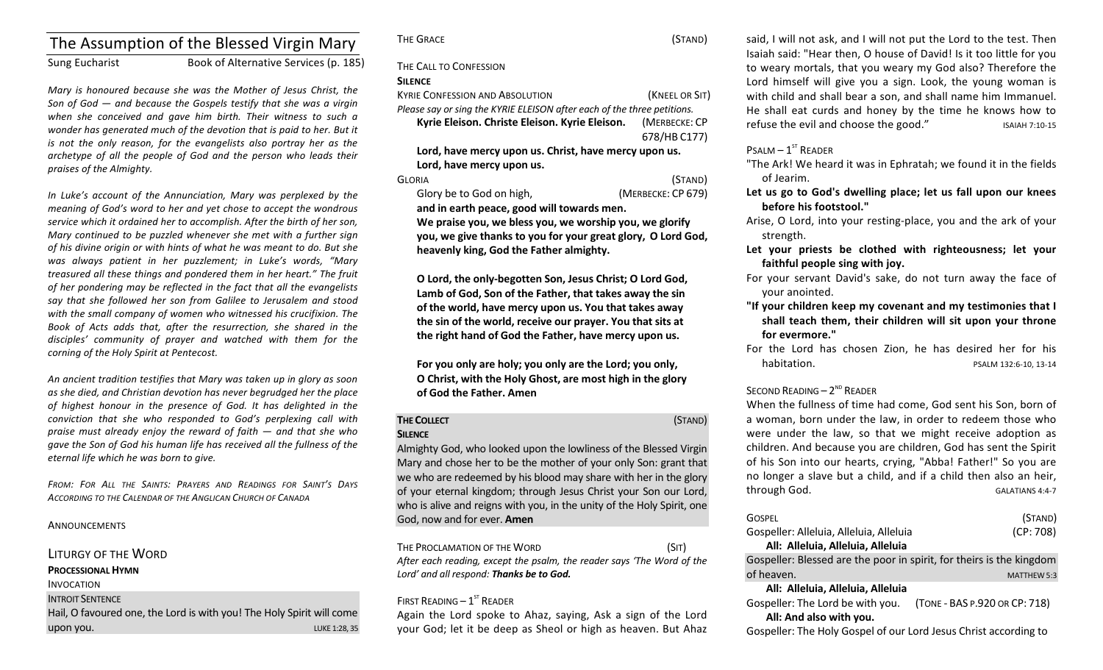## The Assumption of the Blessed Virgin Mary

Sung Eucharist Book of Alternative Services (p. 185)

*Mary is honoured because she was the Mother of Jesus Christ, the Son of God* — *and because the Gospels testify that she was a virgin* when she conceived and gave him birth. Their witness to such a wonder has generated much of the devotion that is paid to her. But it *is* not the only reason, for the evangelists also portray her as the archetype of all the people of God and the person who leads their *praises of the Almighty.*

*In Luke's account of the Annunciation, Mary was perplexed by the meaning of God's word to her and yet chose to accept the wondrous service* which it ordained her to accomplish. After the birth of her son, *Mary* continued to be puzzled whenever she met with a further sign of his divine origin or with hints of what he was meant to do. But she was always patient in her puzzlement; in Luke's words, "Mary *treasured all these things and pondered them in her heart."* The fruit of her pondering may be reflected in the fact that all the evangelists say that she followed her son from Galilee to Jerusalem and stood with the small company of women who witnessed his crucifixion. The *Book of Acts adds that, after the resurrection, she shared in the*  disciples' community of prayer and watched with them for the *corning of the Holy Spirit at Pentecost.* 

An ancient tradition testifies that Mary was taken up in glory as soon as she died, and Christian devotion has never begrudged her the place of highest honour in the presence of God. It has delighted in the conviction that she who responded to God's perplexing call with *praise must already enjoy the reward of faith — and that she who gave the Son of God his human life has received all the fullness of the eternal life which he was born to give.* 

*FROM: FOR ALL THE SAINTS: PRAYERS AND READINGS FOR SAINT'S DAYS*  **ACCORDING TO THE CALENDAR OF THE ANGLICAN CHURCH OF CANADA** 

**ANNOUNCEMENTS** 

LITURGY OF THE WORD

**PROCESSIONAL HYMN** 

INVOCATION **INTROIT SENTENCE** 

Hail, O favoured one, the Lord is with you! The Holy Spirit will come UPON YOU. The contract of the contract of the contract of the contract of the contract of the contract of the contract of the contract of the contract of the contract of the contract of the contract of the contract of the THE GRACE (STAND)

THE CALL TO CONFESSION

### **SILENCE**

KYRIE CONFESSION AND ABSOLUTION *NATEL OR SIT* (*KNEEL OR SIT*) Please say or sing the KYRIE ELEISON after each of the three petitions. **Kyrie Eleison. Christe Eleison. Kyrie Eleison.** (MERBECKE: CP 678/HB C177) Lord, have mercy upon us. Christ, have mercy upon us. Lord, have mercy upon us. GLORIA (STAND)

Glory be to God on high, *(MERBECKE: CP 679)* and in earth peace, good will towards men. We praise you, we bless you, we worship you, we glorify **you, we give thanks to you for your great glory, O Lord God,** 

heavenly king, God the Father almighty.

**O** Lord, the only-begotten Son, Jesus Christ; O Lord God, Lamb of God, Son of the Father, that takes away the sin of the world, have mercy upon us. You that takes away the sin of the world, receive our prayer. You that sits at the right hand of God the Father, have mercy upon us.

For you only are holy; you only are the Lord; you only, **O** Christ, with the Holy Ghost, are most high in the glory of God the Father. Amen

### **THE COLLECT** (STAND) **SILENCE**

Almighty God, who looked upon the lowliness of the Blessed Virgin Mary and chose her to be the mother of your only Son: grant that we who are redeemed by his blood may share with her in the glory of your eternal kingdom; through Jesus Christ your Son our Lord, who is alive and reigns with you, in the unity of the Holy Spirit, one God, now and for ever. **Amen** 

THE PROCLAMATION OF THE WORD (SIT) After each reading, except the psalm, the reader says 'The Word of the Lord' and all respond: Thanks be to God.

FIRST READING  $-1<sup>ST</sup>$  READER

Again the Lord spoke to Ahaz, saying, Ask a sign of the Lord your God; let it be deep as Sheol or high as heaven. But Ahaz said, I will not ask, and I will not put the Lord to the test. Then Isaiah said: "Hear then, O house of David! Is it too little for you to weary mortals, that you weary my God also? Therefore the Lord himself will give you a sign. Look, the young woman is with child and shall bear a son, and shall name him Immanuel. He shall eat curds and honey by the time he knows how to refuse the evil and choose the good." $S$  ISAIAH 7:10-15

## $P$ SALM –  $1^{ST}$  READER

- "The Ark! We heard it was in Ephratah; we found it in the fields of Jearim.
- Let us go to God's dwelling place; let us fall upon our knees before his footstool."
- Arise, O Lord, into your resting-place, you and the ark of your strength.
- Let your priests be clothed with righteousness; let your faithful people sing with joy.
- For your servant David's sake, do not turn away the face of vour anointed.
- "If your children keep my covenant and my testimonies that I shall teach them, their children will sit upon your throne for evermore."
- For the Lord has chosen Zion, he has desired her for his habitation. PSALM 132:6-10, 13-14

## SECOND READING  $- 2^{ND}$  READER

When the fullness of time had come, God sent his Son, born of a woman, born under the law, in order to redeem those who were under the law, so that we might receive adoption as children. And because you are children, God has sent the Spirit of his Son into our hearts, crying, "Abba! Father!" So you are no longer a slave but a child, and if a child then also an heir, through God. **GALATIANS** 4:4-7

| (STAND)<br>GOSPEL<br>(CP: 708)<br>Gospeller: Alleluia, Alleluia, Alleluia<br>All: Alleluia, Alleluia, Alleluia |
|----------------------------------------------------------------------------------------------------------------|
| Gospeller: Blessed are the poor in spirit, for theirs is the kingdom                                           |
| of heaven.<br><b>MATTHEW 5:3</b>                                                                               |
| All: Alleluia, Alleluia, Alleluia                                                                              |
| Gospeller: The Lord be with you.<br>(TONE - BAS P.920 OR CP: 718)                                              |
| All: And also with you.                                                                                        |
| Gospeller: The Holy Gospel of our Lord Jesus Christ according to                                               |